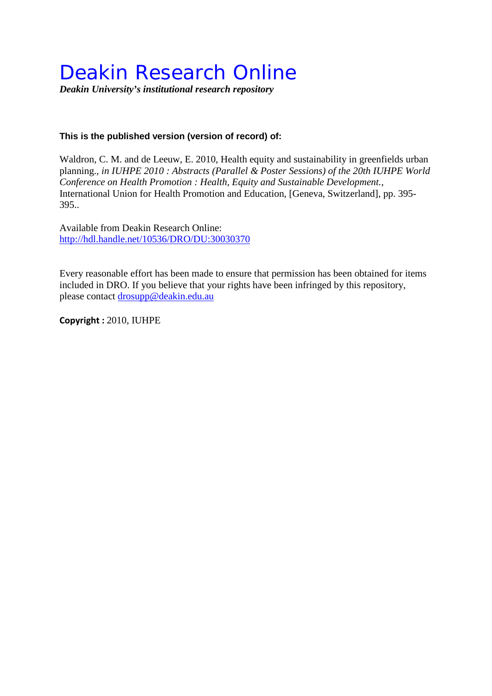## Deakin Research Online

*Deakin University's institutional research repository*

## **This is the published version (version of record) of:**

Waldron, C. M. and de Leeuw, E. 2010, Health equity and sustainability in greenfields urban planning.*, in IUHPE 2010 : Abstracts (Parallel & Poster Sessions) of the 20th IUHPE World Conference on Health Promotion : Health, Equity and Sustainable Development.*, International Union for Health Promotion and Education, [Geneva, Switzerland], pp. 395- 395..

Available from Deakin Research Online: <http://hdl.handle.net/10536/DRO/DU:30030370>

Every reasonable effort has been made to ensure that permission has been obtained for items included in DRO. If you believe that your rights have been infringed by this repository, please contact [drosupp@deakin.edu.au](mailto:drosupp@deakin.edu.au) 

**Copyright :** 2010, IUHPE